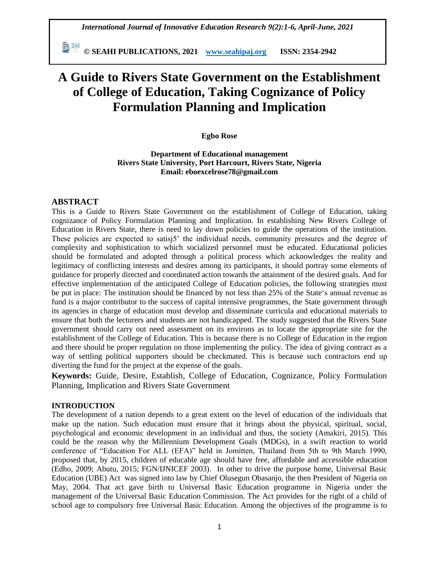**© SEAHI PUBLICATIONS, 2021 [www.seahipaj.org](http://www.seahipaj.org/) ISSN: 2354-2942**

# **A Guide to Rivers State Government on the Establishment of College of Education, Taking Cognizance of Policy Formulation Planning and Implication**

#### **Egbo Rose**

**Department of Educational management Rivers State University, Port Harcourt, Rivers State, Nigeria Email: eboexcelrose78@gmail.com** 

## **ABSTRACT**

This is a Guide to Rivers State Government on the establishment of College of Education, taking cognizance of Policy Formulation Planning and Implication. In establishing New Rivers College of Education in Rivers State, there is need to lay down policies to guide the operations of the institution. These policies are expected to satisj5' the individual needs, community pressures and the degree of complexity and sophistication to which socialized personnel must be educated. Educational policies should be formulated and adopted through a political process which acknowledges the reality and legitimacy of conflicting interests and desires among its participants, it should portray some elements of guidance for properly directed and coordinated action towards the attainment of the desired goals. And for effective implementation of the anticipated College of Education policies, the following strategies must be put in place: The institution should be financed by not less than 25% of the State"s annual revenue as fund is a major contributor to the success of capital intensive programmes, the State government through its agencies in charge of education must develop and disseminate curricula and educational materials to ensure that both the lecturers and students are not handicapped. The study suggested that the Rivers State government should carry out need assessment on its environs as to locate the appropriate site for the establishment of the College of Education. This is because there is no College of Education in the region and there should be proper regulation on those implementing the policy. The idea of giving contract as a way of settling political supporters should be checkmated. This is because such contractors end up diverting the fund for the project at the expense of the goals.

**Keywords:** Guide, Desire, Establish, College of Education, Cognizance, Policy Formulation Planning, Implication and Rivers State Government

#### **INTRODUCTION**

The development of a nation depends to a great extent on the level of education of the individuals that make up the nation. Such education must ensure that it brings about the physical, spiritual, social, psychological and economic development in an individual and thus, the society (Amakiri, 2015). This could be the reason why the Millennium Development Goals (MDGs), in a swift reaction to world conference of "Education For ALL (EFA)" held in Jomitten, Thailand from 5th to 9th March 1990, proposed that, by 2015, children of educable age should have free, affordable and accessible education (Edho, 2009; Abutu, 2015; FGN/IJNICEF 2003). In other to drive the purpose home, Universal Basic Education (UBE) Act was signed into law by Chief Olusegun Obasanjo, the then President of Nigeria on May, 2004. That act gave birth to Universal Basic Education programme in Nigeria under the management of the Universal Basic Education Commission. The Act provides for the right of a child of school age to compulsory free Universal Basic Education. Among the objectives of the programme is to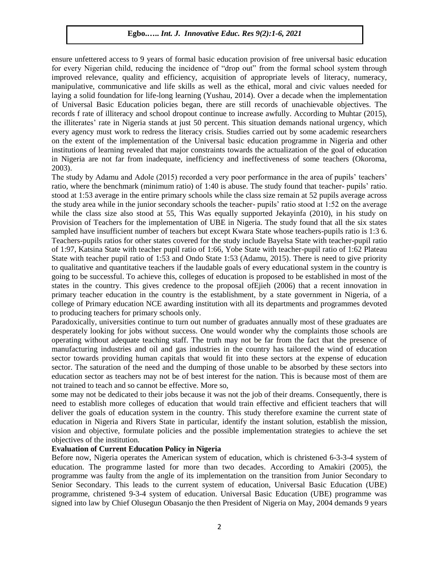ensure unfettered access to 9 years of formal basic education provision of free universal basic education for every Nigerian child, reducing the incidence of "drop out" from the formal school system through improved relevance, quality and efficiency, acquisition of appropriate levels of literacy, numeracy, manipulative, communicative and life skills as well as the ethical, moral and civic values needed for laying a solid foundation for life-long learning (Yushau, 2014). Over a decade when the implementation of Universal Basic Education policies began, there are still records of unachievable objectives. The records f rate of illiteracy and school dropout continue to increase awfully. According to Muhtar (2015), the illiterates' rate in Nigeria stands at just 50 percent. This situation demands national urgency, which every agency must work to redress the literacy crisis. Studies carried out by some academic researchers on the extent of the implementation of the Universal basic education programme in Nigeria and other institutions of learning revealed that major constraints towards the actualization of the goal of education in Nigeria are not far from inadequate, inefficiency and ineffectiveness of some teachers (Okoroma, 2003).

The study by Adamu and Adole (2015) recorded a very poor performance in the area of pupils" teachers" ratio, where the benchmark (minimum ratio) of 1:40 is abuse. The study found that teacher- pupils" ratio. stood at 1:53 average in the entire primary schools while the class size remain at 52 pupils average across the study area while in the junior secondary schools the teacher- pupils" ratio stood at 1:52 on the average while the class size also stood at 55, This Was equally supported Jekayinfa (2010), in his study on Provision of Teachers for the implementation of UBE in Nigeria. The study found that all the six states sampled have insufficient number of teachers but except Kwara State whose teachers-pupils ratio is 1:3 6. Teachers-pupils ratios for other states covered for the study include Bayelsa State with teacher-pupil ratio of 1:97, Katsina State with teacher pupil ratio of 1:66, Yobe State with teacher-pupil ratio of 1:62 Plateau State with teacher pupil ratio of 1:53 and Ondo State 1:53 (Adamu, 2015). There is need to give priority to qualitative and quantitative teachers if the laudable goals of every educational system in the country is going to be successful. To achieve this, colleges of education is proposed to be established in most of the states in the country. This gives credence to the proposal ofEjieh (2006) that a recent innovation in primary teacher education in the country is the establishment, by a state government in Nigeria, of a college of Primary education NCE awarding institution with all its departments and programmes devoted to producing teachers for primary schools only.

Paradoxically, universities continue to turn out number of graduates annually most of these graduates are desperately looking for jobs without success. One would wonder why the complaints those schools are operating without adequate teaching staff. The truth may not be far from the fact that the presence of manufacturing industries and oil and gas industries in the country has tailored the wind of education sector towards providing human capitals that would fit into these sectors at the expense of education sector. The saturation of the need and the dumping of those unable to be absorbed by these sectors into education sector as teachers may not be of best interest for the nation. This is because most of them are not trained to teach and so cannot be effective. More so,

some may not be dedicated to their jobs because it was not the job of their dreams. Consequently, there is need to establish more colleges of education that would train effective and efficient teachers that will deliver the goals of education system in the country. This study therefore examine the current state of education in Nigeria and Rivers State in particular, identify the instant solution, establish the mission, vision and objective, formulate policies and the possible implementation strategies to achieve the set objectives of the institution.

#### **Evaluation of Current Education Policy in Nigeria**

Before now, Nigeria operates the American system of education, which is christened 6-3-3-4 system of education. The programme lasted for more than two decades. According to Amakiri (2005), the programme was faulty from the angle of its implementation on the transition from Junior Secondary to Senior Secondary. This leads to the current system of education, Universal Basic Education (UBE) programme, christened 9-3-4 system of education. Universal Basic Education (UBE) programme was signed into law by Chief Olusegun Obasanjo the then President of Nigeria on May, 2004 demands 9 years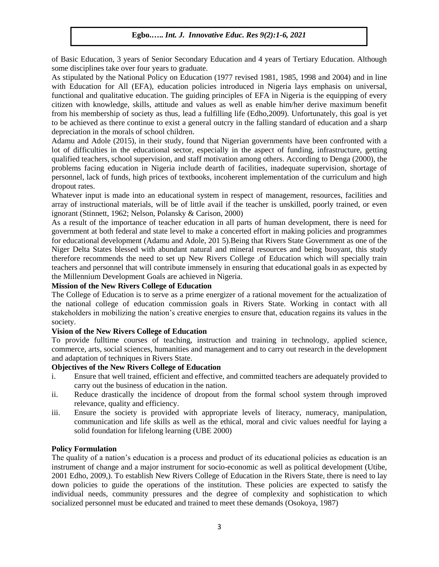of Basic Education, 3 years of Senior Secondary Education and 4 years of Tertiary Education. Although some disciplines take over four years to graduate.

As stipulated by the National Policy on Education (1977 revised 1981, 1985, 1998 and 2004) and in line with Education for All (EFA), education policies introduced in Nigeria lays emphasis on universal, functional and qualitative education. The guiding principles of EFA in Nigeria is the equipping of every citizen with knowledge, skills, attitude and values as well as enable him/her derive maximum benefit from his membership of society as thus, lead a fulfilling life (Edho,2009). Unfortunately, this goal is yet to be achieved as there continue to exist a general outcry in the falling standard of education and a sharp depreciation in the morals of school children.

Adamu and Adole (2015), in their study, found that Nigerian governments have been confronted with a lot of difficulties in the educational sector, especially in the aspect of funding, infrastructure, getting qualified teachers, school supervision, and staff motivation among others. According to Denga (2000), the problems facing education in Nigeria include dearth of facilities, inadequate supervision, shortage of personnel, lack of funds, high prices of textbooks, incoherent implementation of the curriculum and high dropout rates.

Whatever input is made into an educational system in respect of management, resources, facilities and array of instructional materials, will be of little avail if the teacher is unskilled, poorly trained, or even ignorant (Stinnett, 1962; Nelson, Polansky & Carison, 2000)

As a result of the importance of teacher education in all parts of human development, there is need for government at both federal and state level to make a concerted effort in making policies and programmes for educational development (Adamu and Adole, 201 5).Being that Rivers State Government as one of the Niger Delta States blessed with abundant natural and mineral resources and being buoyant, this study therefore recommends the need to set up New Rivers College .of Education which will specially train teachers and personnel that will contribute immensely in ensuring that educational goals in as expected by the Millennium Development Goals are achieved in Nigeria.

#### **Mission of the New Rivers College of Education**

The College of Education is to serve as a prime energizer of a rational movement for the actualization of the national college of education commission goals in Rivers State. Working in contact with all stakeholders in mobilizing the nation"s creative energies to ensure that, education regains its values in the society.

## **Vision of the New Rivers College of Education**

To provide fulltime courses of teaching, instruction and training in technology, applied science, commerce, arts, social sciences, humanities and management and to carry out research in the development and adaptation of techniques in Rivers State.

## **Objectives of the New Rivers College of Education**

- i. Ensure that well trained, efficient and effective, and committed teachers are adequately provided to carry out the business of education in the nation.
- ii. Reduce drastically the incidence of dropout from the formal school system through improved relevance, quality and efficiency.
- iii. Ensure the society is provided with appropriate levels of literacy, numeracy, manipulation, communication and life skills as well as the ethical, moral and civic values needful for laying a solid foundation for lifelong learning (UBE 2000)

#### **Policy Formulation**

The quality of a nation"s education is a process and product of its educational policies as education is an instrument of change and a major instrument for socio-economic as well as political development (Utibe, 2001 Edho, 2009,). To establish New Rivers College of Education in the Rivers State, there is need to lay down policies to guide the operations of the institution. These policies are expected to satisfy the individual needs, community pressures and the degree of complexity and sophistication to which socialized personnel must be educated and trained to meet these demands (Osokoya, 1987)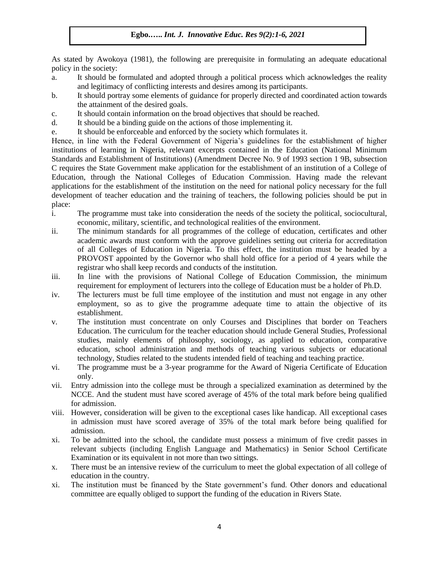As stated by Awokoya (1981), the following are prerequisite in formulating an adequate educational policy in the society:

- a. It should be formulated and adopted through a political process which acknowledges the reality and legitimacy of conflicting interests and desires among its participants.
- b. It should portray some elements of guidance for properly directed and coordinated action towards the attainment of the desired goals.
- c. It should contain information on the broad objectives that should be reached.
- d. It should be a binding guide on the actions of those implementing it.
- e. It should be enforceable and enforced by the society which formulates it.

Hence, in line with the Federal Government of Nigeria"s guidelines for the establishment of higher institutions of learning in Nigeria, relevant excerpts contained in the Education (National Minimum Standards and Establishment of Institutions) (Amendment Decree No. 9 of 1993 section 1 9B, subsection C requires the State Government make application for the establishment of an institution of a College of Education, through the National Colleges of Education Commission. Having made the relevant applications for the establishment of the institution on the need for national policy necessary for the full development of teacher education and the training of teachers, the following policies should be put in place:

- i. The programme must take into consideration the needs of the society the political, sociocultural, economic, military, scientific, and technological realities of the environment.
- ii. The minimum standards for all programmes of the college of education, certificates and other academic awards must conform with the approve guidelines setting out criteria for accreditation of all Colleges of Education in Nigeria. To this effect, the institution must be headed by a PROVOST appointed by the Governor who shall hold office for a period of 4 years while the registrar who shall keep records and conducts of the institution.
- iii. In line with the provisions of National College of Education Commission, the minimum requirement for employment of lecturers into the college of Education must be a holder of Ph.D.
- iv. The lecturers must be full time employee of the institution and must not engage in any other employment, so as to give the programme adequate time to attain the objective of its establishment.
- v. The institution must concentrate on only Courses and Disciplines that border on Teachers Education. The curriculum for the teacher education should include General Studies, Professional studies, mainly elements of philosophy, sociology, as applied to education, comparative education, school administration and methods of teaching various subjects or educational technology, Studies related to the students intended field of teaching and teaching practice.
- vi. The programme must be a 3-year programme for the Award of Nigeria Certificate of Education only.
- vii. Entry admission into the college must be through a specialized examination as determined by the NCCE. And the student must have scored average of 45% of the total mark before being qualified for admission.
- viii. However, consideration will be given to the exceptional cases like handicap. All exceptional cases in admission must have scored average of 35% of the total mark before being qualified for admission.
- xi. To be admitted into the school, the candidate must possess a minimum of five credit passes in relevant subjects (including English Language and Mathematics) in Senior School Certificate Examination or its equivalent in not more than two sittings.
- x. There must be an intensive review of the curriculum to meet the global expectation of all college of education in the country.
- xi. The institution must be financed by the State government"s fund. Other donors and educational committee are equally obliged to support the funding of the education in Rivers State.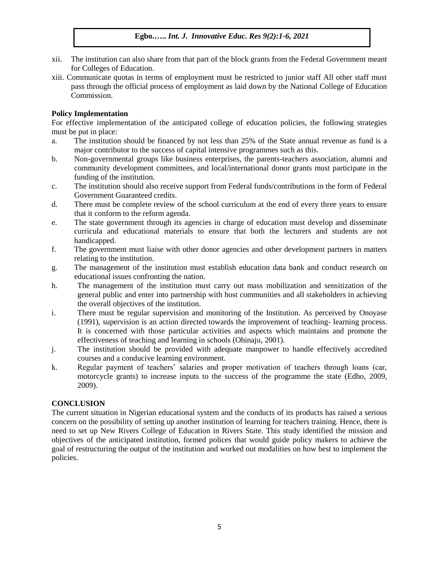- xii. The institution can also share from that part of the block grants from the Federal Government meant for Colleges of Education.
- xiii. Communicate quotas in terms of employment must be restricted to junior staff All other staff must pass through the official process of employment as laid down by the National College of Education Commission.

## **Policy Implementation**

For effective implementation of the anticipated college of education policies, the following strategies must be put in place:

- a. The institution should be financed by not less than 25% of the State annual revenue as fund is a major contributor to the success of capital intensive programmes such as this.
- b. Non-governmental groups like business enterprises, the parents-teachers association, alumni and community development committees, and local/international donor grants must participate in the funding of the institution.
- c. The institution should also receive support from Federal funds/contributions in the form of Federal Government Guaranteed credits.
- d. There must be complete review of the school curriculum at the end of every three years to ensure that it conform to the reform agenda.
- e. The state government through its agencies in charge of education must develop and disseminate curricula and educational materials to ensure that both the lecturers and students are not handicapped.
- f. The government must liaise with other donor agencies and other development partners in matters relating to the institution.
- g. The management of the institution must establish education data bank and conduct research on educational issues confronting the nation.
- h. The management of the institution must carry out mass mobilization and sensitization of the general public and enter into partnership with host communities and all stakeholders in achieving the overall objectives of the institution.
- i. There must be regular supervision and monitoring of the Institution. As perceived by Onoyase (1991), supervision is an action directed towards the improvement of teaching- learning process. It is concerned with those particular activities and aspects which maintains and promote the effectiveness of teaching and learning in schools (Ohinaju, 2001).
- j. The institution should be provided with adequate manpower to handle effectively accredited courses and a conducive learning environment.
- k. Regular payment of teachers" salaries and proper motivation of teachers through loans (car, motorcycle grants) to increase inputs to the success of the programme the state (Edho, 2009, 2009).

## **CONCLUSION**

The current situation in Nigerian educational system and the conducts of its products has raised a serious concern on the possibility of setting up another institution of learning for teachers training. Hence, there is need to set up New Rivers College of Education in Rivers State. This study identified the mission and objectives of the anticipated institution, formed polices that would guide policy makers to achieve the goal of restructuring the output of the institution and worked out modalities on how best to implement the policies.